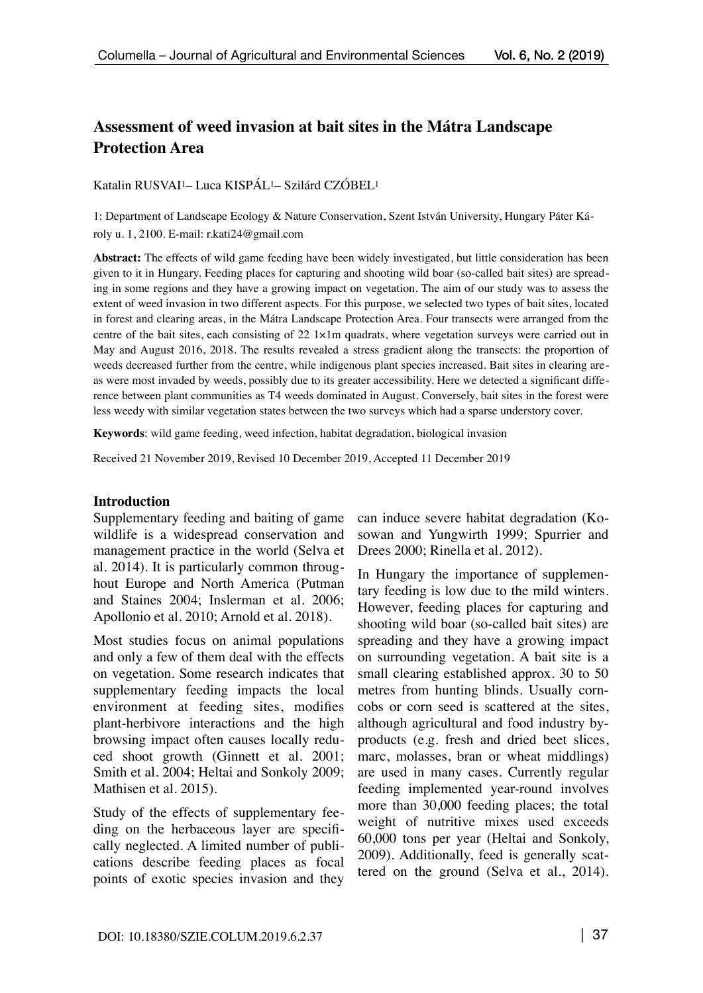# **Assessment of weed invasion at bait sites in the Mátra Landscape Protection Area**

Katalin RUSVAI1– Luca KISPÁL1– Szilárd CZÓBEL1

1: Department of Landscape Ecology & Nature Conservation, Szent István University, Hungary Páter Károly u. 1, 2100. E-mail: [r.kati24@gmail.com](mailto:r.kati24@gmail.com)

**Abstract:** The effects of wild game feeding have been widely investigated, but little consideration has been given to it in Hungary. Feeding places for capturing and shooting wild boar (so-called bait sites) are spreading in some regions and they have a growing impact on vegetation. The aim of our study was to assess the extent of weed invasion in two different aspects. For this purpose, we selected two types of bait sites, located in forest and clearing areas, in the Mátra Landscape Protection Area. Four transects were arranged from the centre of the bait sites, each consisting of  $22 \frac{1}{\text{min}}$  quadrats, where vegetation surveys were carried out in May and August 2016, 2018. The results revealed a stress gradient along the transects: the proportion of weeds decreased further from the centre, while indigenous plant species increased. Bait sites in clearing areas were most invaded by weeds, possibly due to its greater accessibility. Here we detected a significant difference between plant communities as T4 weeds dominated in August. Conversely, bait sites in the forest were less weedy with similar vegetation states between the two surveys which had a sparse understory cover.

**Keywords**: wild game feeding, weed infection, habitat degradation, biological invasion

Received 21 November 2019, Revised 10 December 2019, Accepted 11 December 2019

#### **Introduction**

Supplementary feeding and baiting of game wildlife is a widespread conservation and management practice in the world (Selva et al. 2014). It is particularly common throughout Europe and North America (Putman and Staines 2004; Inslerman et al. 2006; Apollonio et al. 2010; Arnold et al. 2018).

Most studies focus on animal populations and only a few of them deal with the effects on vegetation. Some research indicates that supplementary feeding impacts the local environment at feeding sites, modifies plant-herbivore interactions and the high browsing impact often causes locally reduced shoot growth (Ginnett et al. 2001; Smith et al. 2004; Heltai and Sonkoly 2009; Mathisen et al. 2015).

Study of the effects of supplementary feeding on the herbaceous layer are specifically neglected. A limited number of publications describe feeding places as focal points of exotic species invasion and they

can induce severe habitat degradation (Kosowan and Yungwirth 1999; Spurrier and Drees 2000; Rinella et al. 2012).

In Hungary the importance of supplementary feeding is low due to the mild winters. However, feeding places for capturing and shooting wild boar (so-called bait sites) are spreading and they have a growing impact on surrounding vegetation. A bait site is a small clearing established approx. 30 to 50 metres from hunting blinds. Usually corncobs or corn seed is scattered at the sites, although agricultural and food industry byproducts (e.g. fresh and dried beet slices, marc, molasses, bran or wheat middlings) are used in many cases. Currently regular feeding implemented year-round involves more than 30,000 feeding places; the total weight of nutritive mixes used exceeds 60,000 tons per year (Heltai and Sonkoly, 2009). Additionally, feed is generally scattered on the ground (Selva et al., 2014).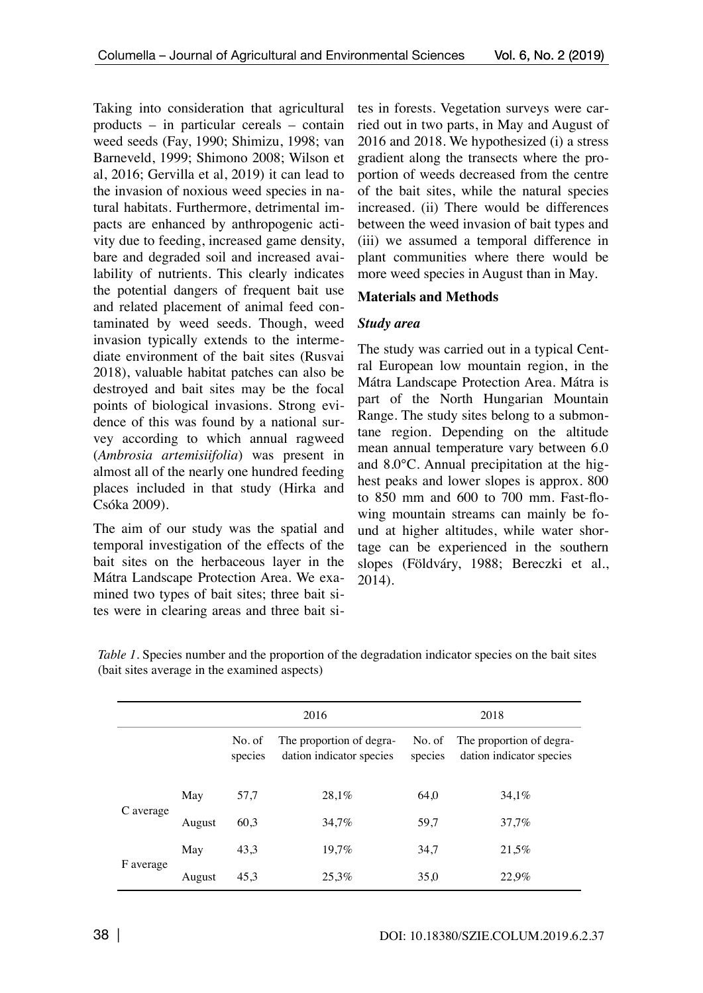Taking into consideration that agricultural products – in particular cereals – contain weed seeds (Fay, 1990; Shimizu, 1998; van Barneveld, 1999; Shimono 2008; Wilson et al, 2016; Gervilla et al, 2019) it can lead to the invasion of noxious weed species in natural habitats. Furthermore, detrimental impacts are enhanced by anthropogenic activity due to feeding, increased game density, bare and degraded soil and increased availability of nutrients. This clearly indicates the potential dangers of frequent bait use and related placement of animal feed contaminated by weed seeds. Though, weed invasion typically extends to the intermediate environment of the bait sites (Rusvai 2018), valuable habitat patches can also be destroyed and bait sites may be the focal points of biological invasions. Strong evidence of this was found by a national survey according to which annual ragweed (*Ambrosia artemisiifolia*) was present in almost all of the nearly one hundred feeding places included in that study (Hirka and Csóka 2009).

The aim of our study was the spatial and temporal investigation of the effects of the bait sites on the herbaceous layer in the Mátra Landscape Protection Area. We examined two types of bait sites; three bait sites were in clearing areas and three bait sites in forests. Vegetation surveys were carried out in two parts, in May and August of 2016 and 2018. We hypothesized (i) a stress gradient along the transects where the proportion of weeds decreased from the centre of the bait sites, while the natural species increased. (ii) There would be differences between the weed invasion of bait types and (iii) we assumed a temporal difference in plant communities where there would be more weed species in August than in May.

## **Materials and Methods**

# *Study area*

The study was carried out in a typical Central European low mountain region, in the Mátra Landscape Protection Area. Mátra is part of the North Hungarian Mountain Range. The study sites belong to a submontane region. Depending on the altitude mean annual temperature vary between 6.0 and 8.0°C. Annual precipitation at the highest peaks and lower slopes is approx. 800 to 850 mm and 600 to 700 mm. Fast-flowing mountain streams can mainly be found at higher altitudes, while water shortage can be experienced in the southern slopes (Földváry, 1988; Bereczki et al., 2014).

|           |        |                   | 2016                                                 | 2018              |                                                      |  |
|-----------|--------|-------------------|------------------------------------------------------|-------------------|------------------------------------------------------|--|
|           |        | No. of<br>species | The proportion of degra-<br>dation indicator species | No. of<br>species | The proportion of degra-<br>dation indicator species |  |
| C average | May    | 57,7              | 28.1%                                                | 64.0              | 34.1%                                                |  |
|           | August | 60,3              | 34,7%                                                | 59,7              | 37,7%                                                |  |
| F average | May    | 43,3              | 19,7%                                                | 34,7              | 21,5%                                                |  |
|           | August | 45,3              | 25,3%                                                | 35,0              | 22,9%                                                |  |

*Table 1*. Species number and the proportion of the degradation indicator species on the bait sites (bait sites average in the examined aspects)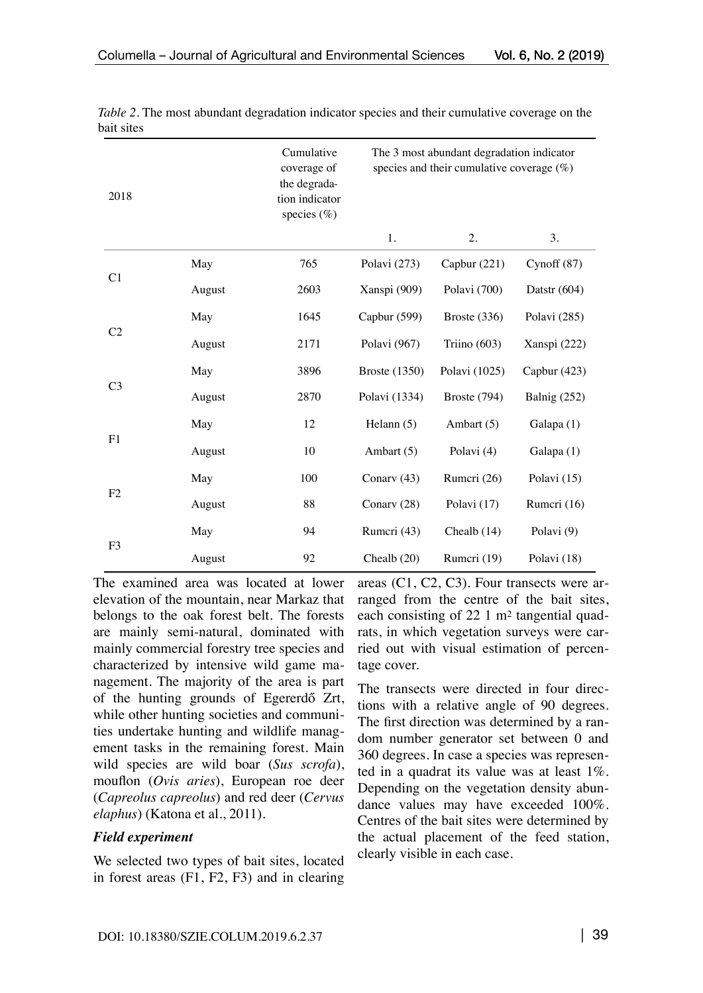| 2018           |        | Cumulative<br>The 3 most abundant degradation indicator<br>species and their cumulative coverage $(\%)$<br>coverage of<br>the degrada-<br>tion indicator<br>species (%) |                      |                |                |
|----------------|--------|-------------------------------------------------------------------------------------------------------------------------------------------------------------------------|----------------------|----------------|----------------|
|                |        |                                                                                                                                                                         | 1.                   | 2.             | 3.             |
| C1             | May    | 765                                                                                                                                                                     | Polavi (273)         | Capbur (221)   | Cynoff $(87)$  |
|                | August | 2603                                                                                                                                                                    | Xanspi (909)         | Polavi (700)   | Datstr $(604)$ |
| C <sub>2</sub> | May    | 1645                                                                                                                                                                    | Capbur (599)         | Broste $(336)$ | Polavi (285)   |
|                | August | 2171                                                                                                                                                                    | Polavi (967)         | Triino $(603)$ | Xanspi (222)   |
| C <sub>3</sub> | May    | 3896                                                                                                                                                                    | <b>Broste</b> (1350) | Polavi (1025)  | Capbur (423)   |
|                | August | 2870                                                                                                                                                                    | Polavi (1334)        | Broste (794)   | Balnig (252)   |
| F1             | May    | 12                                                                                                                                                                      | Helann (5)           | Ambart (5)     | Galapa (1)     |
|                | August | 10                                                                                                                                                                      | Ambart (5)           | Polavi (4)     | Galapa (1)     |
| F <sub>2</sub> | May    | 100                                                                                                                                                                     | Conarv (43)          | Rumeri (26)    | Polavi (15)    |
|                | August | 88                                                                                                                                                                      | Conary (28)          | Polavi (17)    | Rumeri (16)    |
| F <sub>3</sub> | May    | 94                                                                                                                                                                      | Rumeri (43)          | Chealb $(14)$  | Polavi (9)     |
|                | August | 92                                                                                                                                                                      | Chealb $(20)$        | Rumcri (19)    | Polavi (18)    |

*Table 2.* The most abundant degradation indicator species and their cumulative coverage on the bait sites

The examined area was located at lower elevation of the mountain, near Markaz that belongs to the oak forest belt. The forests are mainly semi-natural, dominated with mainly commercial forestry tree species and characterized by intensive wild game management. The majority of the area is part of the hunting grounds of Egererdő Zrt, while other hunting societies and communities undertake hunting and wildlife management tasks in the remaining forest. Main wild species are wild boar (*Sus scrofa*), mouflon (*Ovis aries*), European roe deer (*Capreolus capreolus*) and red deer (*Cervus elaphus*) (Katona et al., 2011).

#### *Field experiment*

We selected two types of bait sites, located in forest areas (F1, F2, F3) and in clearing areas (C1, C2, C3). Four transects were arranged from the centre of the bait sites, each consisting of 22 1 m2 tangential quadrats, in which vegetation surveys were carried out with visual estimation of percentage cover.

The transects were directed in four directions with a relative angle of 90 degrees. The first direction was determined by a random number generator set between 0 and 360 degrees. In case a species was represented in a quadrat its value was at least 1%. Depending on the vegetation density abundance values may have exceeded 100%. Centres of the bait sites were determined by the actual placement of the feed station, clearly visible in each case.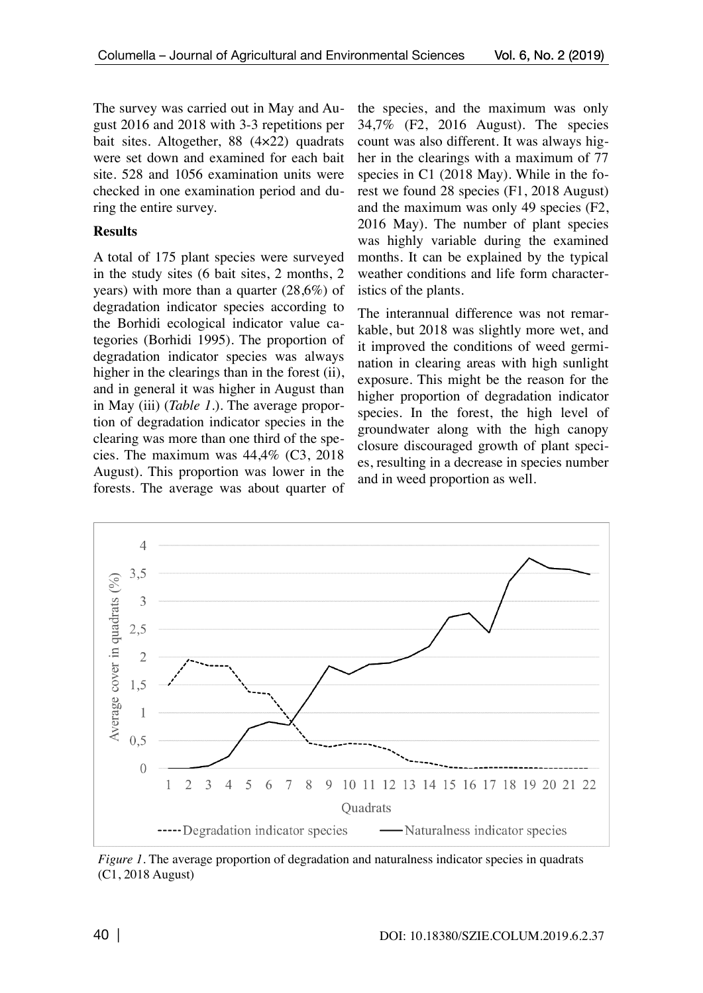The survey was carried out in May and August 2016 and 2018 with 3-3 repetitions per bait sites. Altogether, 88 (4×22) quadrats were set down and examined for each bait site. 528 and 1056 examination units were checked in one examination period and during the entire survey.

## **Results**

A total of 175 plant species were surveyed in the study sites (6 bait sites, 2 months, 2 years) with more than a quarter (28,6%) of degradation indicator species according to the Borhidi ecological indicator value categories (Borhidi 1995). The proportion of degradation indicator species was always higher in the clearings than in the forest (ii), and in general it was higher in August than in May (iii) (*Table 1.*). The average proportion of degradation indicator species in the clearing was more than one third of the species. The maximum was 44,4% (C3, 2018 August). This proportion was lower in the forests. The average was about quarter of the species, and the maximum was only 34,7% (F2, 2016 August). The species count was also different. It was always higher in the clearings with a maximum of 77 species in C1 (2018 May). While in the forest we found 28 species (F1, 2018 August) and the maximum was only 49 species (F2, 2016 May). The number of plant species was highly variable during the examined months. It can be explained by the typical weather conditions and life form characteristics of the plants.

The interannual difference was not remarkable, but 2018 was slightly more wet, and it improved the conditions of weed germination in clearing areas with high sunlight exposure. This might be the reason for the higher proportion of degradation indicator species. In the forest, the high level of groundwater along with the high canopy closure discouraged growth of plant species, resulting in a decrease in species number and in weed proportion as well.



*Figure 1*. The average proportion of degradation and naturalness indicator species in quadrats (C1, 2018 August)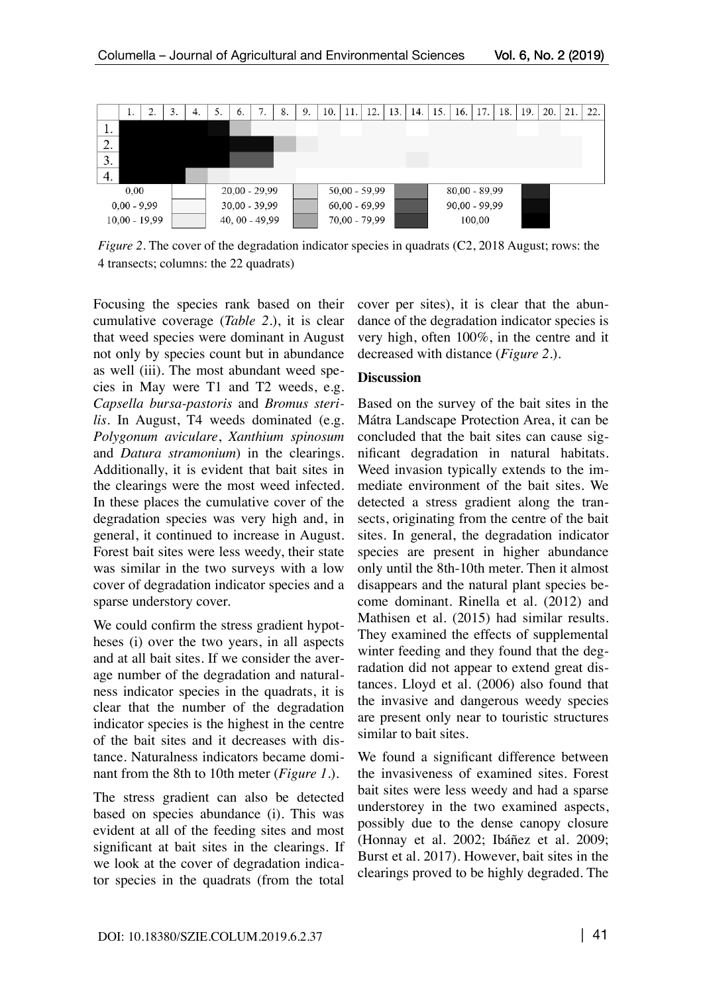

*Figure 2.* The cover of the degradation indicator species in quadrats (C2, 2018 August; rows: the 4 transects; columns: the 22 quadrats)

Focusing the species rank based on their cumulative coverage (*Table 2.*), it is clear that weed species were dominant in August not only by species count but in abundance as well (iii). The most abundant weed species in May were T1 and T2 weeds, e.g. *Capsella bursa-pastoris* and *Bromus sterilis*. In August, T4 weeds dominated (e.g. *Polygonum aviculare*, *Xanthium spinosum* and *Datura stramonium*) in the clearings. Additionally, it is evident that bait sites in the clearings were the most weed infected. In these places the cumulative cover of the degradation species was very high and, in general, it continued to increase in August. Forest bait sites were less weedy, their state was similar in the two surveys with a low cover of degradation indicator species and a sparse understory cover.

We could confirm the stress gradient hypotheses (i) over the two years, in all aspects and at all bait sites. If we consider the average number of the degradation and naturalness indicator species in the quadrats, it is clear that the number of the degradation indicator species is the highest in the centre of the bait sites and it decreases with distance. Naturalness indicators became dominant from the 8th to 10th meter (*Figure 1.*).

The stress gradient can also be detected based on species abundance (i). This was evident at all of the feeding sites and most significant at bait sites in the clearings. If we look at the cover of degradation indicator species in the quadrats (from the total

cover per sites), it is clear that the abundance of the degradation indicator species is very high, often 100%, in the centre and it decreased with distance (*Figure 2.*).

#### **Discussion**

Based on the survey of the bait sites in the Mátra Landscape Protection Area, it can be concluded that the bait sites can cause significant degradation in natural habitats. Weed invasion typically extends to the immediate environment of the bait sites. We detected a stress gradient along the transects, originating from the centre of the bait sites. In general, the degradation indicator species are present in higher abundance only until the 8th-10th meter. Then it almost disappears and the natural plant species become dominant. Rinella et al. (2012) and Mathisen et al. (2015) had similar results. They examined the effects of supplemental winter feeding and they found that the degradation did not appear to extend great distances. Lloyd et al. (2006) also found that the invasive and dangerous weedy species are present only near to touristic structures similar to bait sites.

We found a significant difference between the invasiveness of examined sites. Forest bait sites were less weedy and had a sparse understorey in the two examined aspects, possibly due to the dense canopy closure (Honnay et al. 2002; Ibáñez et al. 2009; Burst et al. 2017). However, bait sites in the clearings proved to be highly degraded. The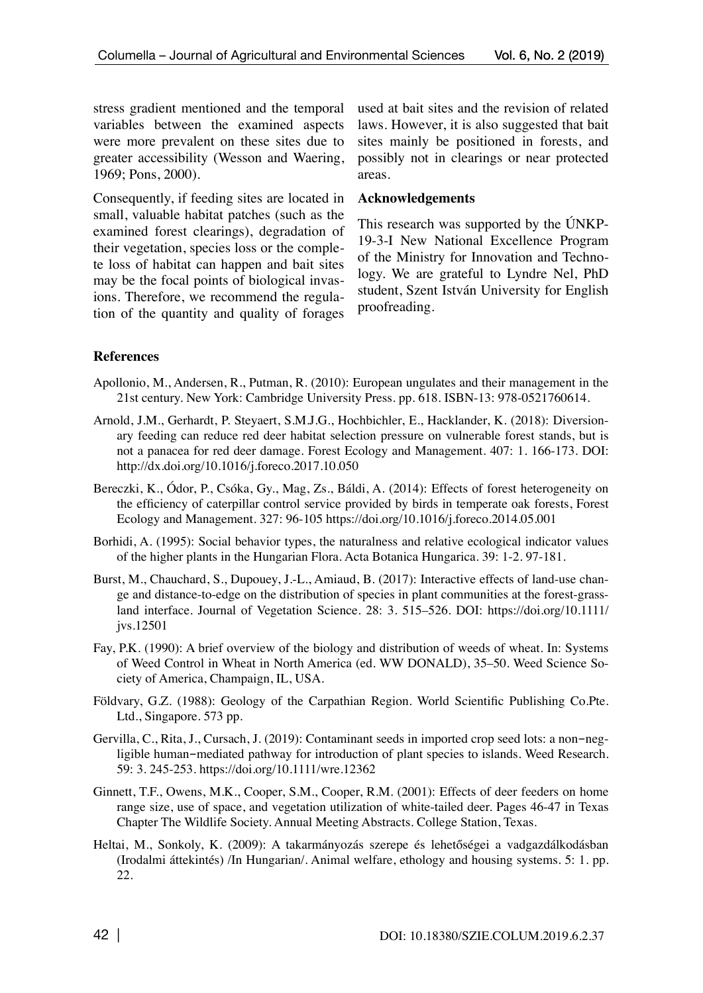stress gradient mentioned and the temporal variables between the examined aspects were more prevalent on these sites due to greater accessibility (Wesson and Waering, 1969; Pons, 2000).

Consequently, if feeding sites are located in small, valuable habitat patches (such as the examined forest clearings), degradation of their vegetation, species loss or the complete loss of habitat can happen and bait sites may be the focal points of biological invasions. Therefore, we recommend the regulation of the quantity and quality of forages

used at bait sites and the revision of related laws. However, it is also suggested that bait sites mainly be positioned in forests, and possibly not in clearings or near protected areas.

### **Acknowledgements**

This research was supported by the ÚNKP-19-3-I New National Excellence Program of the Ministry for Innovation and Technology. We are grateful to Lyndre Nel, PhD student, Szent István University for English proofreading.

# **References**

- Apollonio, M., Andersen, R., Putman, R. (2010): European ungulates and their management in the 21st century. New York: Cambridge University Press. pp. 618. ISBN-13: 978-0521760614.
- Arnold, J.M., Gerhardt, P. Steyaert, S.M.J.G., Hochbichler, E., Hacklander, K. (2018): Diversionary feeding can reduce red deer habitat selection pressure on vulnerable forest stands, but is not a panacea for red deer damage. Forest Ecology and Management. 407: 1. 166-173. DOI: http://dx.doi.org/10.1016/j.foreco.2017.10.050
- Bereczki, K., Ódor, P., Csóka, Gy., Mag, Zs., Báldi, A. (2014): Effects of forest heterogeneity on the efficiency of caterpillar control service provided by birds in temperate oak forests, Forest Ecology and Management. 327: 96-105 https://doi.org/10.1016/j.foreco.2014.05.001
- Borhidi, A. (1995): Social behavior types, the naturalness and relative ecological indicator values of the higher plants in the Hungarian Flora. Acta Botanica Hungarica. 39: 1-2. 97-181.
- Burst, M., Chauchard, S., Dupouey, J.-L., Amiaud, B. (2017): Interactive effects of land-use change and distance-to-edge on the distribution of species in plant communities at the forest-grassland interface. Journal of Vegetation Science. 28: 3. 515–526. DOI: https://doi.org/10.1111/ jvs.12501
- Fay, P.K. (1990): A brief overview of the biology and distribution of weeds of wheat. In: Systems of Weed Control in Wheat in North America (ed. WW DONALD), 35–50. Weed Science Society of America, Champaign, IL, USA.
- Földvary, G.Z. (1988): Geology of the Carpathian Region. World Scientific Publishing Co.Pte. Ltd., Singapore. 573 pp.
- Gervilla, C., Rita, J., Cursach, J. (2019): Contaminant seeds in imported crop seed lots: a non-negligible human-mediated pathway for introduction of plant species to islands. Weed Research. 59: 3. 245-253. https://doi.org/10.1111/wre.12362
- Ginnett, T.F., Owens, M.K., Cooper, S.M., Cooper, R.M. (2001): Effects of deer feeders on home range size, use of space, and vegetation utilization of white-tailed deer. Pages 46-47 in Texas Chapter The Wildlife Society. Annual Meeting Abstracts. College Station, Texas.
- Heltai, M., Sonkoly, K. (2009): A takarmányozás szerepe és lehetőségei a vadgazdálkodásban (Irodalmi áttekintés) /In Hungarian/. Animal welfare, ethology and housing systems. 5: 1. pp. 22.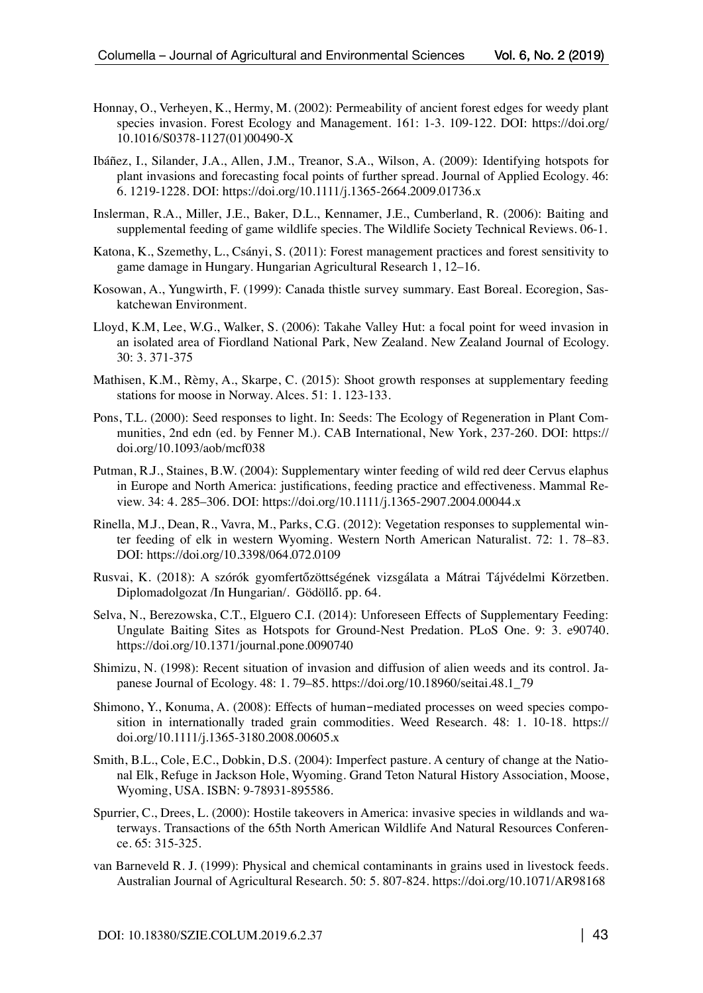- Honnay, O., Verheyen, K., Hermy, M. (2002): Permeability of ancient forest edges for weedy plant species invasion. Forest Ecology and Management. 161: 1-3. 109-122. DOI: https://doi.org/ 10.1016/S0378-1127(01)00490-X
- Ibáñez, I., Silander, J.A., Allen, J.M., Treanor, S.A., Wilson, A. (2009): Identifying hotspots for plant invasions and forecasting focal points of further spread. Journal of Applied Ecology. 46: 6. 1219-1228. DOI: https://doi.org/10.1111/j.1365-2664.2009.01736.x
- Inslerman, R.A., Miller, J.E., Baker, D.L., Kennamer, J.E., Cumberland, R. (2006): Baiting and supplemental feeding of game wildlife species. The Wildlife Society Technical Reviews. 06-1.
- Katona, K., Szemethy, L., Csányi, S. (2011): Forest management practices and forest sensitivity to game damage in Hungary. Hungarian Agricultural Research 1, 12–16.
- Kosowan, A., Yungwirth, F. (1999): Canada thistle survey summary. East Boreal. Ecoregion, Saskatchewan Environment.
- Lloyd, K.M, Lee, W.G., Walker, S. (2006): Takahe Valley Hut: a focal point for weed invasion in an isolated area of Fiordland National Park, New Zealand. New Zealand Journal of Ecology. 30: 3. 371-375
- Mathisen, K.M., Rèmy, A., Skarpe, C. (2015): Shoot growth responses at supplementary feeding stations for moose in Norway. Alces. 51: 1. 123-133.
- Pons, T.L. (2000): Seed responses to light. In: Seeds: The Ecology of Regeneration in Plant Communities, 2nd edn (ed. by Fenner M.). CAB International, New York, 237-260. DOI: https:// doi.org/10.1093/aob/mcf038
- Putman, R.J., Staines, B.W. (2004): Supplementary winter feeding of wild red deer Cervus elaphus in Europe and North America: justifications, feeding practice and effectiveness. Mammal Review. 34: 4. 285–306. DOI: https://doi.org/10.1111/j.1365-2907.2004.00044.x
- Rinella, M.J., Dean, R., Vavra, M., Parks, C.G. (2012): Vegetation responses to supplemental winter feeding of elk in western Wyoming. Western North American Naturalist. 72: 1. 78–83. DOI: https://doi.org/10.3398/064.072.0109
- Rusvai, K. (2018): A szórók gyomfertőzöttségének vizsgálata a Mátrai Tájvédelmi Körzetben. Diplomadolgozat /In Hungarian/. Gödöllő. pp. 64.
- Selva, N., Berezowska, C.T., Elguero C.I. (2014): Unforeseen Effects of Supplementary Feeding: Ungulate Baiting Sites as Hotspots for Ground-Nest Predation. PLoS One. 9: 3. e90740. https://doi.org/10.1371/journal.pone.0090740
- Shimizu, N. (1998): Recent situation of invasion and diffusion of alien weeds and its control. Japanese Journal of Ecology. 48: 1. 79–85. https://doi.org/10.18960/seitai.48.1\_79
- Shimono, Y., Konuma, A. (2008): Effects of human-mediated processes on weed species composition in internationally traded grain commodities. Weed Research. 48: 1. 10-18. https:// doi.org/10.1111/j.1365-3180.2008.00605.x
- Smith, B.L., Cole, E.C., Dobkin, D.S. (2004): Imperfect pasture. A century of change at the National Elk, Refuge in Jackson Hole, Wyoming. Grand Teton Natural History Association, Moose, Wyoming, USA. ISBN: 9-78931-895586.
- Spurrier, C., Drees, L. (2000): Hostile takeovers in America: invasive species in wildlands and waterways. Transactions of the 65th North American Wildlife And Natural Resources Conference. 65: 315-325.
- van Barneveld R. J. (1999): Physical and chemical contaminants in grains used in livestock feeds. Australian Journal of Agricultural Research. 50: 5. 807-824. https://doi.org/10.1071/AR98168